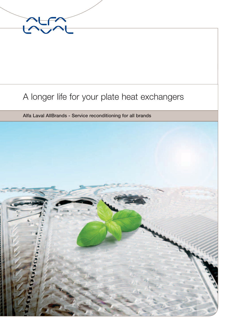

# A longer life for your plate heat exchangers

Alfa Laval AllBrands - Service reconditioning for all brands

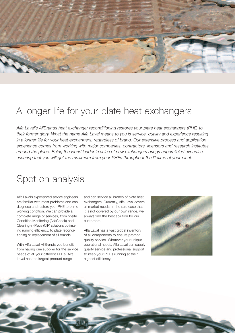

## A longer life for your plate heat exchangers

*Alfa Laval's AllBrands heat exchanger reconditioning restores your plate heat exchangers (PHE) to their former glory. What the name Alfa Laval means to you is service, quality and experience resulting in a longer life for your heat exchangers, regardless of brand. Our extensive process and application experience comes from working with major companies, contractors, licensors and research institutes around the globe. Being the world leader in sales of new exchangers brings unparalleled expertise, ensuring that you will get the maximum from your PHEs throughout the lifetime of your plant.*

### Spot on analysis

Alfa Laval's experienced service engineers are familiar with most problems and can diagnose and restore your PHE to prime working condition. We can provide a complete range of services, from onsite Condition Monitoring (AlfaCheck) and Cleaning-In-Place (CIP) solutions optimizing running efficiency, to plate reconditioning or replacement of all brands.

With Alfa Laval AllBrands you benefit from having one supplier for the service needs of all your different PHEs. Alfa Laval has the largest product range

and can service all brands of plate heat exchangers. Currently, Alfa Laval covers all market needs. In the rare case that it is not covered by our own range, we always find the best solution for our customers.

Alfa Laval has a vast global inventory of all components to ensure prompt quality service. Whatever your unique operational needs, Alfa Laval can supply quality service and professional support to keep your PHEs running at their highest efficiency.



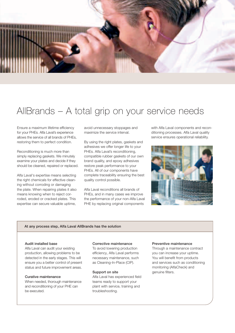

# AllBrands – A total grip on your service needs

Ensure a maximum lifetime efficiency for your PHEs. Alfa Laval's experience allows the service of all brands of PHEs, restoring them to perfect condition.

Reconditioning is much more than simply replacing gaskets. We minutely examine your plates and decide if they should be cleaned, repaired or replaced.

Alfa Laval's expertise means selecting the right chemicals for effective cleaning without corroding or damaging the plate. When repairing plates it also means knowing when to reject corroded, eroded or cracked plates. This expertise can secure valuable uptime,

avoid unnecessary stoppages and maximize the service interval.

By using the right plates, gaskets and adhesives we offer longer life to your PHEs. Alfa Laval's reconditioning, compatible rubber gaskets of our own brand quality, and epoxy adhesives restore peak performance to your PHEs. All of our components have complete traceability ensuring the best quality control possible.

Alfa Laval reconditions all brands of PHEs, and in many cases we improve the performance of your non-Alfa Laval PHE by replacing original components

with Alfa Laval components and reconditioning processes. Alfa Laval quality service ensures operational reliability.



#### At any process step, Alfa Laval AllBrands has the solution

#### Audit installed base

Alfa Laval can audit your existing production, allowing problems to be detected in the early stages. This will ensure you a better control of present status and future improvement areas.

### Curative maintenance

When needed, thorough maintenance and reconditioning of your PHE can be executed.

### Corrective maintenance

To avoid lowering production efficiency, Alfa Laval performs necessary maintenance, such as Cleaning-In-Place (CIP).

#### Support on site

Alfa Laval has experienced field teams ready to support your plant with service, training and troubleshooting.

#### Preventive maintenance

Through a maintenance contract you can increase your uptime. You will benefit from products and services such as conditioning monitoring (AlfaCheck) and genuine filters.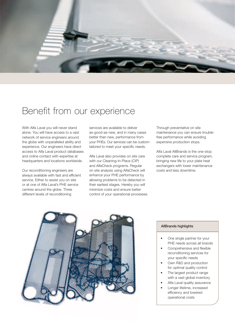

## Benefit from our experience

With Alfa Laval you will never stand alone. You will have access to a vast network of service engineers around the globe with unparalleled ability and experience. Our engineers have direct access to Alfa Laval product databases and online contact with expertise at headquarters and locations worldwide.

Our reconditioning engineers are always available with fast and efficient service. Either to assist you on site or at one of Alfa Laval's PHE service centres around the globe. Three different levels of reconditioning

services are available to deliver as-good-as-new, and in many cases better than new, performance from your PHEs. Our services can be customtailored to meet your specific needs.

Alfa Laval also provides on site care with our Cleaning-In-Place (CIP) and AlfaCheck programs. Regular on site analysis using AlfaCheck will enhance your PHE performance by allowing problems to be detected in their earliest stages. Hereby you will minimize costs and ensure better control of your operational processes. Through preventative on site maintenance you can ensure troublefree performance while avoiding expensive production stops.

Alfa Laval AllBrands is the one-stop complete care and service program, bringing new life to your plate heat exchangers with lower maintenance costs and less downtime.



#### AllBrands highlights

- One single partner for your PHE needs across all brands
- Comprehensive and flexible reconditioning services for your specific needs
- Own R&D and production for optimal quality control
- The largest product range with a vast global inventory
- Alfa Laval quality assurance
- Longer lifetime, increased efficiency and lowered operational costs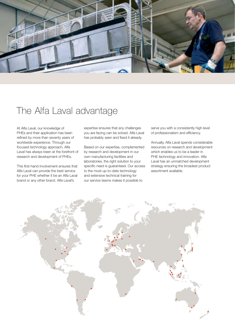

# The Alfa Laval advantage

At Alfa Laval, our knowledge of PHEs and their application has been refined by more than seventy years of worldwide experience. Through our focused technology approach, Alfa Laval has always been at the forefront of research and development of PHEs.

This first-hand involvement ensures that Alfa Laval can provide the best service for your PHE whether it be an Alfa Laval brand or any other brand. Alfa Laval's

expertise ensures that any challenges you are facing can be solved. Alfa Laval has probably seen and fixed it already.

Based on our expertise, complemented by research and development in our own manufacturing facilities and laboratories, the right solution to your specific need is guaranteed. Our access to the most up-to-date technology and extensive technical training for our service teams makes it possible to

serve you with a consistently high level of professionalism and efficiency.

Annually, Alfa Laval spends considerable resources on research and development which enables us to be a leader in PHE technology and innovation. Alfa Laval has an unmatched development strategy ensuring the broadest product assortment available.